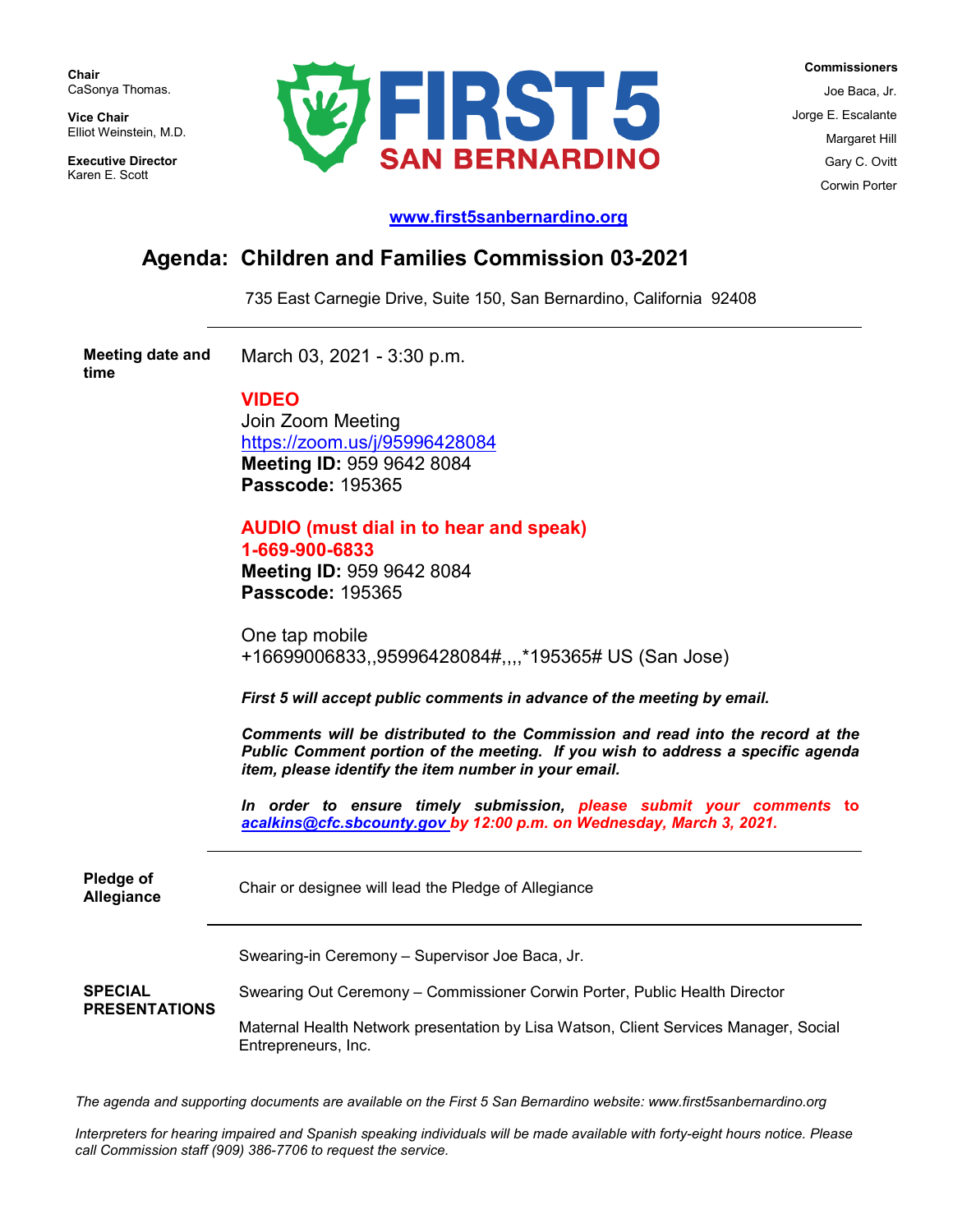**Chair** CaSonya Thomas.

**Vice Chair** Elliot Weinstein, M.D.

**Executive Director**  Karen E. Scott



 **Commissioners** Joe Baca, Jr. Jorge E. Escalante Margaret Hill Gary C. Ovitt Corwin Porter

## **[www.first5sanbernardino.org](http://www.first5sanbernardino.org/)**

## **Agenda: Children and Families Commission 03-2021**

735 East Carnegie Drive, Suite 150, San Bernardino, California 92408

**Meeting date and time** March 03, 2021 - 3:30 p.m.

## **VIDEO**

Join Zoom Meeting <https://zoom.us/j/95996428084> **Meeting ID:** 959 9642 8084 **Passcode:** 195365

## **AUDIO (must dial in to hear and speak) 1-669-900-6833 Meeting ID:** 959 9642 8084

**Passcode:** 195365

One tap mobile +16699006833,,95996428084#,,,,\*195365# US (San Jose)

*First 5 will accept public comments in advance of the meeting by email.* 

*Comments will be distributed to the Commission and read into the record at the Public Comment portion of the meeting. If you wish to address a specific agenda item, please identify the item number in your email.* 

*In order to ensure timely submission, please submit your comments* **to** *[acalkins@cfc.sbcounty.gov](mailto:acalkins@cfc.sbcounty.gov) by 12:00 p.m. on Wednesday, March 3, 2021.*

**Pledge of Allegiance** Chair or designee will lead the Pledge of Allegiance **SPECIAL PRESENTATIONS** Swearing-in Ceremony – Supervisor Joe Baca, Jr. Swearing Out Ceremony – Commissioner Corwin Porter, Public Health Director Maternal Health Network presentation by Lisa Watson, Client Services Manager, Social Entrepreneurs, Inc.

*The agenda and supporting documents are available on the First 5 San Bernardino website: www.first5sanbernardino.org*

*Interpreters for hearing impaired and Spanish speaking individuals will be made available with forty-eight hours notice. Please call Commission staff (909) 386-7706 to request the service.*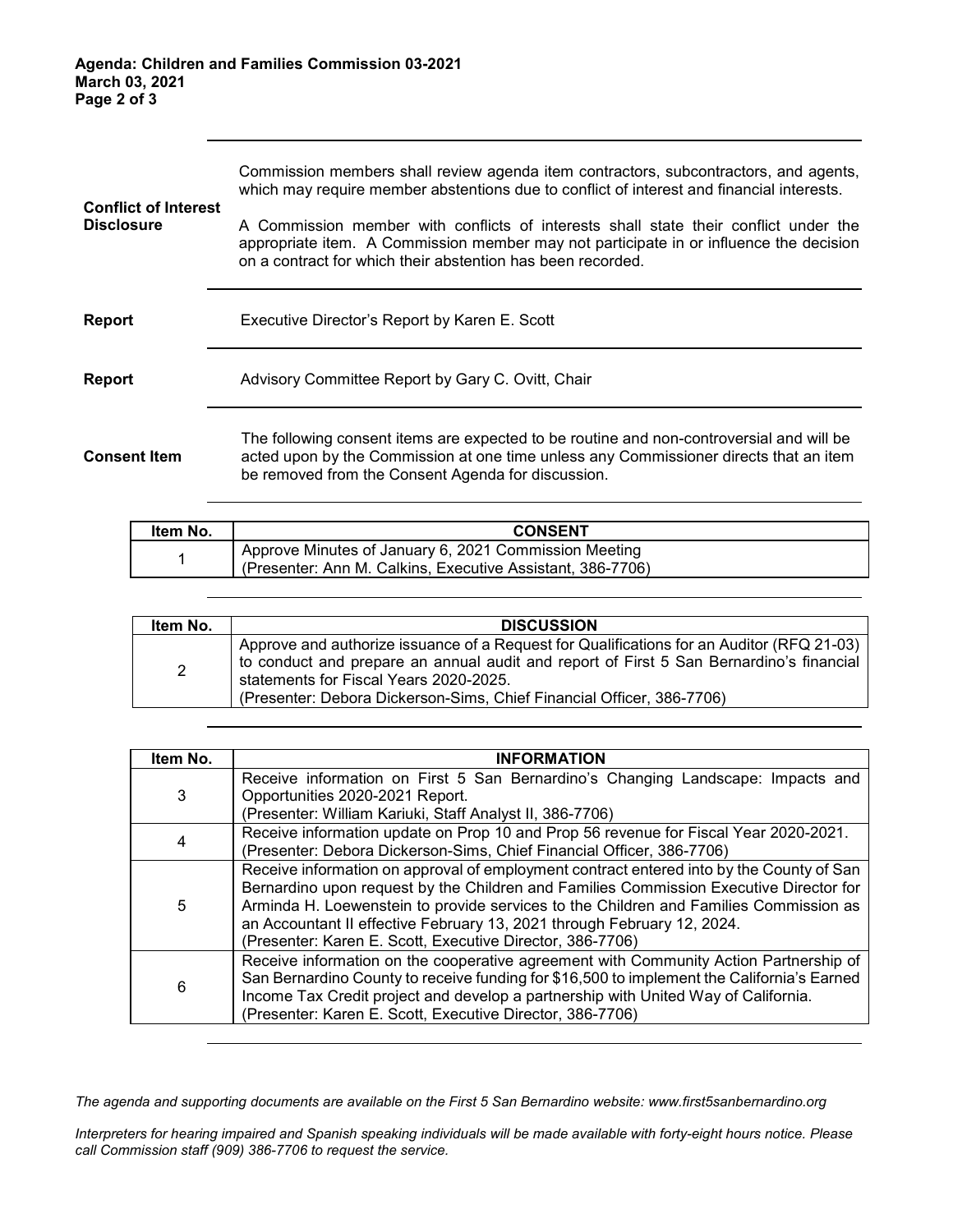| <b>Conflict of Interest</b> | Commission members shall review agenda item contractors, subcontractors, and agents,<br>which may require member abstentions due to conflict of interest and financial interests.                                                             |  |  |
|-----------------------------|-----------------------------------------------------------------------------------------------------------------------------------------------------------------------------------------------------------------------------------------------|--|--|
| <b>Disclosure</b>           | A Commission member with conflicts of interests shall state their conflict under the<br>appropriate item. A Commission member may not participate in or influence the decision<br>on a contract for which their abstention has been recorded. |  |  |
| Report                      | Executive Director's Report by Karen E. Scott                                                                                                                                                                                                 |  |  |
| <b>Report</b>               | Advisory Committee Report by Gary C. Ovitt, Chair                                                                                                                                                                                             |  |  |
| <b>Consent Item</b>         | The following consent items are expected to be routine and non-controversial and will be<br>acted upon by the Commission at one time unless any Commissioner directs that an item<br>be removed from the Consent Agenda for discussion.       |  |  |

| ltem No. | <b>CONSENT</b>                                                                                                      |
|----------|---------------------------------------------------------------------------------------------------------------------|
|          | Approve Minutes of January 6, 2021 Commission Meeting<br>(Presenter: Ann M. Calkins, Executive Assistant, 386-7706) |

| Item No.       | <b>DISCUSSION</b>                                                                                                                                                                                                                                                                                       |
|----------------|---------------------------------------------------------------------------------------------------------------------------------------------------------------------------------------------------------------------------------------------------------------------------------------------------------|
| $\overline{2}$ | Approve and authorize issuance of a Request for Qualifications for an Auditor (RFQ 21-03)<br>to conduct and prepare an annual audit and report of First 5 San Bernardino's financial<br>statements for Fiscal Years 2020-2025.<br>(Presenter: Debora Dickerson-Sims, Chief Financial Officer, 386-7706) |

| Item No. | <b>INFORMATION</b>                                                                                                                                                                                                                                                                                                                                                                                                  |
|----------|---------------------------------------------------------------------------------------------------------------------------------------------------------------------------------------------------------------------------------------------------------------------------------------------------------------------------------------------------------------------------------------------------------------------|
| 3        | Receive information on First 5 San Bernardino's Changing Landscape: Impacts and<br>Opportunities 2020-2021 Report.<br>(Presenter: William Kariuki, Staff Analyst II, 386-7706)                                                                                                                                                                                                                                      |
| 4        | Receive information update on Prop 10 and Prop 56 revenue for Fiscal Year 2020-2021.<br>(Presenter: Debora Dickerson-Sims, Chief Financial Officer, 386-7706)                                                                                                                                                                                                                                                       |
| 5        | Receive information on approval of employment contract entered into by the County of San<br>Bernardino upon request by the Children and Families Commission Executive Director for<br>Arminda H. Loewenstein to provide services to the Children and Families Commission as<br>an Accountant II effective February 13, 2021 through February 12, 2024.<br>(Presenter: Karen E. Scott, Executive Director, 386-7706) |
| 6        | Receive information on the cooperative agreement with Community Action Partnership of<br>San Bernardino County to receive funding for \$16,500 to implement the California's Earned<br>Income Tax Credit project and develop a partnership with United Way of California.<br>(Presenter: Karen E. Scott, Executive Director, 386-7706)                                                                              |

*The agenda and supporting documents are available on the First 5 San Bernardino website: www.first5sanbernardino.org*

*Interpreters for hearing impaired and Spanish speaking individuals will be made available with forty-eight hours notice. Please call Commission staff (909) 386-7706 to request the service.*